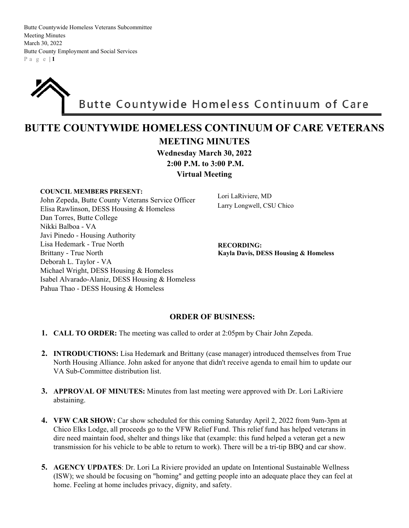Butte Countywide Homeless Veterans Subcommittee Meeting Minutes March 30, 2022 Butte County Employment and Social Services P a g e | **1**

## Butte Countywide Homeless Continuum of Care

## **BUTTE COUNTYWIDE HOMELESS CONTINUUM OF CARE VETERANS MEETING MINUTES**

**Wednesday March 30, 2022**

 **2:00 P.M. to 3:00 P.M.** 

**Virtual Meeting**

## **COUNCIL MEMBERS PRESENT:**  John Zepeda, Butte County Veterans Service Officer Elisa Rawlinson, DESS Housing & Homeless Dan Torres, Butte College Nikki Balboa - VA Javi Pinedo - Housing Authority Lisa Hedemark - True North Brittany - True North Deborah L. Taylor - VA Michael Wright, DESS Housing & Homeless Isabel Alvarado-Alaniz, DESS Housing & Homeless Pahua Thao - DESS Housing & Homeless

Lori LaRiviere, MD Larry Longwell, CSU Chico

**RECORDING: Kayla Davis, DESS Housing & Homeless**

## **ORDER OF BUSINESS:**

- **1. CALL TO ORDER:** The meeting was called to order at 2:05pm by Chair John Zepeda.
- **2. INTRODUCTIONS:** Lisa Hedemark and Brittany (case manager) introduced themselves from True North Housing Alliance. John asked for anyone that didn't receive agenda to email him to update our VA Sub-Committee distribution list.
- **3. APPROVAL OF MINUTES:** Minutes from last meeting were approved with Dr. Lori LaRiviere abstaining.
- **4. VFW CAR SHOW:** Car show scheduled for this coming Saturday April 2, 2022 from 9am-3pm at Chico Elks Lodge, all proceeds go to the VFW Relief Fund. This relief fund has helped veterans in dire need maintain food, shelter and things like that (example: this fund helped a veteran get a new transmission for his vehicle to be able to return to work). There will be a tri-tip BBQ and car show.
- **5. AGENCY UPDATES**: Dr. Lori La Riviere provided an update on Intentional Sustainable Wellness (ISW); we should be focusing on "homing" and getting people into an adequate place they can feel at home. Feeling at home includes privacy, dignity, and safety.